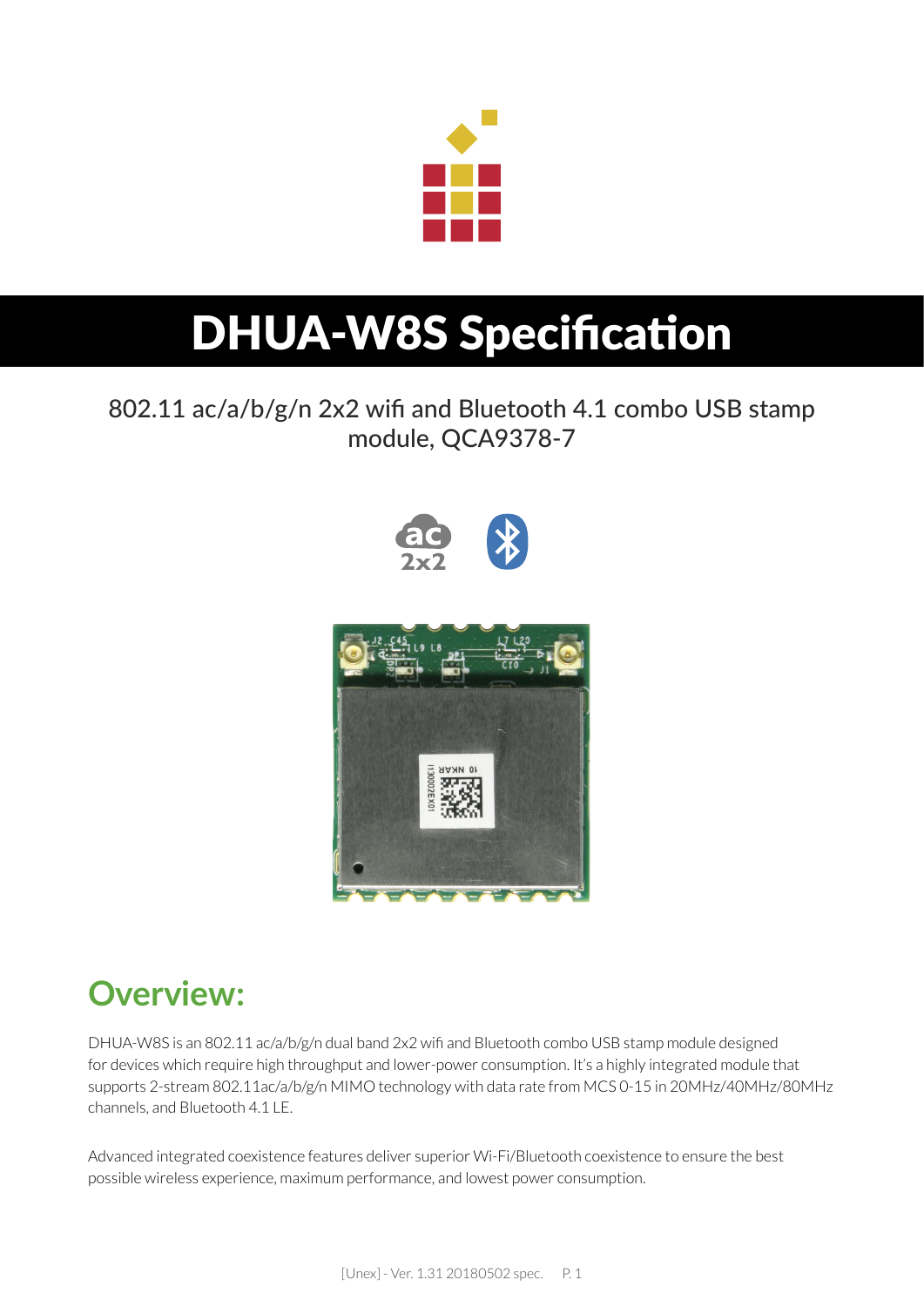

## DHUA-W8S Specification

802.11 ac/a/b/g/n 2x2 wifi and Bluetooth 4.1 combo USB stamp module, QCA9378-7



## **Overview:**

DHUA-W8S is an 802.11 ac/a/b/g/n dual band 2x2 wifi and Bluetooth combo USB stamp module designed for devices which require high throughput and lower-power consumption. It's a highly integrated module that supports 2-stream 802.11ac/a/b/g/n MIMO technology with data rate from MCS 0-15 in 20MHz/40MHz/80MHz channels, and Bluetooth 4.1 LE.

Advanced integrated coexistence features deliver superior Wi-Fi/Bluetooth coexistence to ensure the best possible wireless experience, maximum performance, and lowest power consumption.